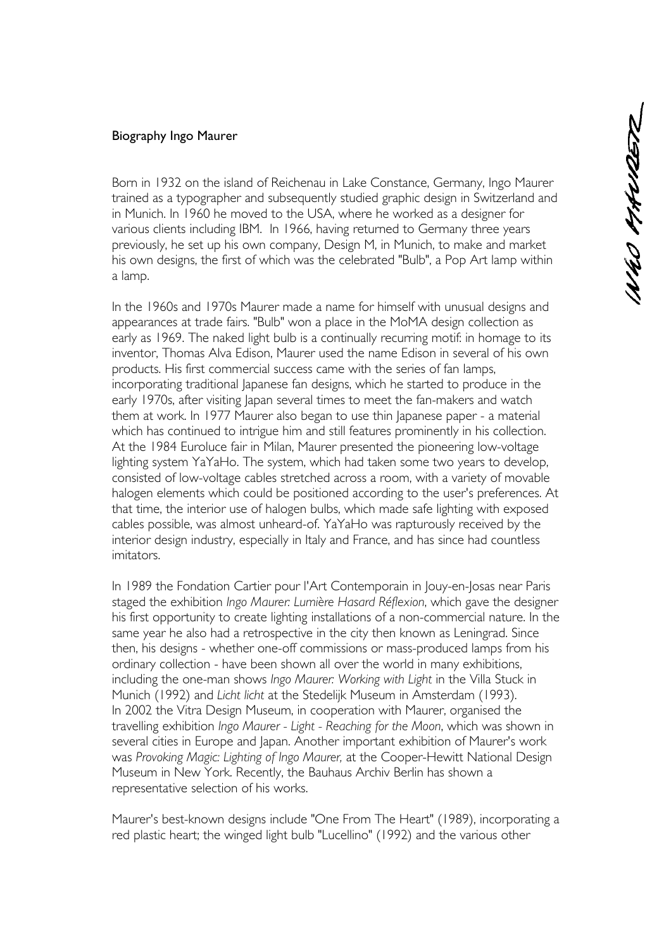## Biography Ingo Maurer

Born in 1932 on the island of Reichenau in Lake Constance, Germany, Ingo Maurer trained as a typographer and subsequently studied graphic design in Switzerland and in Munich. In 1960 he moved to the USA, where he worked as a designer for various clients including IBM. In 1966, having returned to Germany three years previously, he set up his own company, Design M, in Munich, to make and market his own designs, the first of which was the celebrated "Bulb", a Pop Art lamp within a lamp.

In the 1960s and 1970s Maurer made a name for himself with unusual designs and appearances at trade fairs. "Bulb" won a place in the MoMA design collection as early as 1969. The naked light bulb is a continually recurring motif: in homage to its inventor, Thomas Alva Edison, Maurer used the name Edison in several of his own products. His first commercial success came with the series of fan lamps, incorporating traditional Japanese fan designs, which he started to produce in the early 1970s, after visiting Japan several times to meet the fan-makers and watch them at work. In 1977 Maurer also began to use thin Japanese paper - a material which has continued to intrigue him and still features prominently in his collection. At the 1984 Euroluce fair in Milan, Maurer presented the pioneering low-voltage lighting system YaYaHo. The system, which had taken some two years to develop, consisted of low-voltage cables stretched across a room, with a variety of movable halogen elements which could be positioned according to the user's preferences. At that time, the interior use of halogen bulbs, which made safe lighting with exposed cables possible, was almost unheard-of. YaYaHo was rapturously received by the interior design industry, especially in Italy and France, and has since had countless imitators.

In 1989 the Fondation Cartier pour l'Art Contemporain in Jouy-en-Josas near Paris staged the exhibition *Ingo Maurer: Lumière Hasard Réflexion*, which gave the designer his first opportunity to create lighting installations of a non-commercial nature. In the same year he also had a retrospective in the city then known as Leningrad. Since then, his designs - whether one-off commissions or mass-produced lamps from his ordinary collection - have been shown all over the world in many exhibitions, including the one-man shows *Ingo Maurer: Working with Light* in the Villa Stuck in Munich (1992) and *Licht licht* at the Stedelijk Museum in Amsterdam (1993). In 2002 the Vitra Design Museum, in cooperation with Maurer, organised the travelling exhibition *Ingo Maurer - Light - Reaching for the Moon*, which was shown in several cities in Europe and Japan. Another important exhibition of Maurer's work was *Provoking Magic: Lighting of Ingo Maurer,* at the Cooper-Hewitt National Design Museum in New York. Recently, the Bauhaus Archiv Berlin has shown a representative selection of his works.

Maurer's best-known designs include "One From The Heart" (1989), incorporating a red plastic heart; the winged light bulb "Lucellino" (1992) and the various other